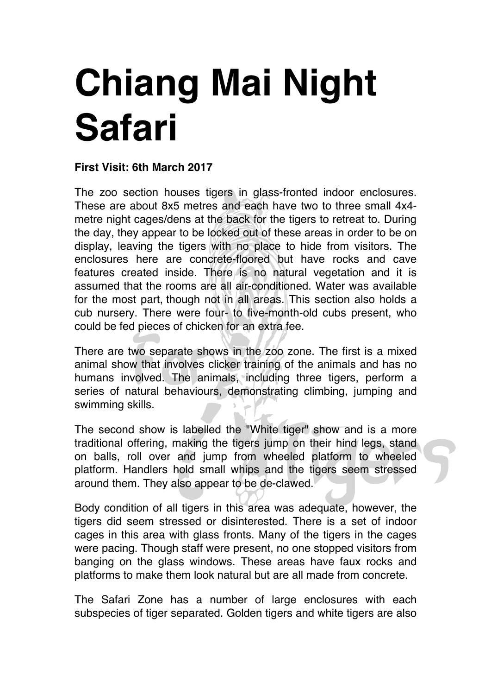## **Chiang Mai Night Safari**

## **First Visit: 6th March 2017**

The zoo section houses tigers in glass-fronted indoor enclosures. These are about 8x5 metres and each have two to three small 4x4 metre night cages/dens at the back for the tigers to retreat to. During the day, they appear to be locked out of these areas in order to be on display, leaving the tigers with no place to hide from visitors. The enclosures here are concrete-floored but have rocks and cave features created inside. There is no natural vegetation and it is assumed that the rooms are all air-conditioned. Water was available for the most part, though not in all areas. This section also holds a cub nursery. There were four- to five-month-old cubs present, who could be fed pieces of chicken for an extra fee.

There are two separate shows in the zoo zone. The first is a mixed animal show that involves clicker training of the animals and has no humans involved. The animals, including three tigers, perform a series of natural behaviours, demonstrating climbing, jumping and swimming skills.

The second show is labelled the "White tiger" show and is a more traditional offering, making the tigers jump on their hind legs, stand on balls, roll over and jump from wheeled platform to wheeled platform. Handlers hold small whips and the tigers seem stressed around them. They also appear to be de-clawed.

Body condition of all tigers in this area was adequate, however, the tigers did seem stressed or disinterested. There is a set of indoor cages in this area with glass fronts. Many of the tigers in the cages were pacing. Though staff were present, no one stopped visitors from banging on the glass windows. These areas have faux rocks and platforms to make them look natural but are all made from concrete.

The Safari Zone has a number of large enclosures with each subspecies of tiger separated. Golden tigers and white tigers are also